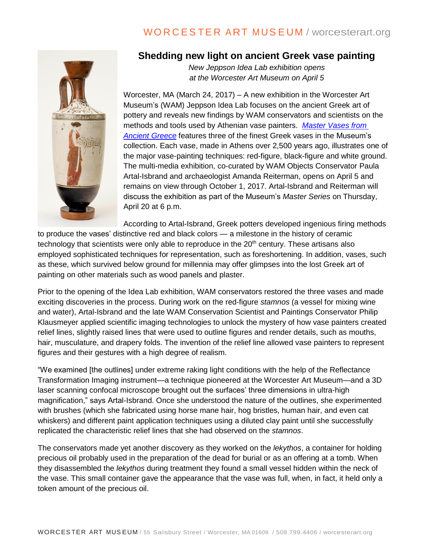## WORCESTER ART MUSEUM / worcesterart.org



### **Shedding new light on ancient Greek vase painting**

*New Jeppson Idea Lab exhibition opens at the Worcester Art Museum on April 5*

Worcester, MA (March 24, 2017) – A new exhibition in the Worcester Art Museum's (WAM) Jeppson Idea Lab focuses on the ancient Greek art of pottery and reveals new findings by WAM conservators and scientists on the methods and tools used by Athenian vase painters. *[Master Vases from](http://www.worcesterart.org/exhibitions/jeppson-idealab-master-vases-ancient-greece/)  [Ancient Greece](http://www.worcesterart.org/exhibitions/jeppson-idealab-master-vases-ancient-greece/)* features three of the finest Greek vases in the Museum's collection. Each vase, made in Athens over 2,500 years ago, illustrates one of the major vase-painting techniques: red-figure, black-figure and white ground. The multi-media exhibition, co-curated by WAM Objects Conservator Paula Artal-Isbrand and archaeologist Amanda Reiterman, opens on April 5 and remains on view through October 1, 2017. Artal-Isbrand and Reiterman will discuss the exhibition as part of the Museum's *Master Series* on Thursday, April 20 at 6 p.m.

According to Artal-Isbrand, Greek potters developed ingenious firing methods

to produce the vases' distinctive red and black colors — a milestone in the history of ceramic technology that scientists were only able to reproduce in the  $20<sup>th</sup>$  century. These artisans also employed sophisticated techniques for representation, such as foreshortening. In addition, vases, such as these, which survived below ground for millennia may offer glimpses into the lost Greek art of painting on other materials such as wood panels and plaster.

Prior to the opening of the Idea Lab exhibition, WAM conservators restored the three vases and made exciting discoveries in the process. During work on the red-figure *stamnos* (a vessel for mixing wine and water), Artal-Isbrand and the late WAM Conservation Scientist and Paintings Conservator Philip Klausmeyer applied scientific imaging technologies to unlock the mystery of how vase painters created relief lines, slightly raised lines that were used to outline figures and render details, such as mouths, hair, musculature, and drapery folds. The invention of the relief line allowed vase painters to represent figures and their gestures with a high degree of realism.

"We examined [the outlines] under extreme raking light conditions with the help of the Reflectance Transformation Imaging instrument—a technique pioneered at the Worcester Art Museum—and a 3D laser scanning confocal microscope brought out the surfaces' three dimensions in ultra-high magnification," says Artal-Isbrand. Once she understood the nature of the outlines, she experimented with brushes (which she fabricated using horse mane hair, hog bristles, human hair, and even cat whiskers) and different paint application techniques using a diluted clay paint until she successfully replicated the characteristic relief lines that she had observed on the *stamnos*.

The conservators made yet another discovery as they worked on the *lekythos*, a container for holding precious oil probably used in the preparation of the dead for burial or as an offering at a tomb. When they disassembled the *lekythos* during treatment they found a small vessel hidden within the neck of the vase. This small container gave the appearance that the vase was full, when, in fact, it held only a token amount of the precious oil.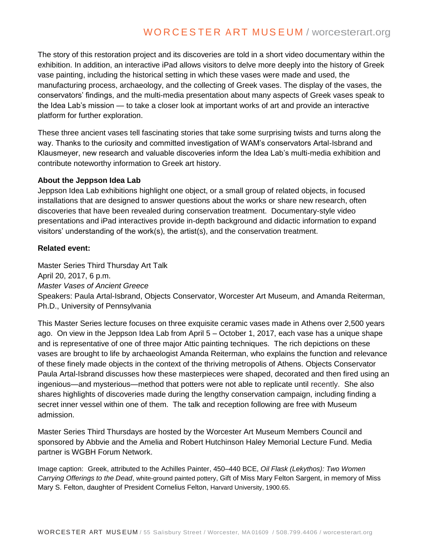# WORCESTER ART MUSEUM / worcesterart.org

The story of this restoration project and its discoveries are told in a short video documentary within the exhibition. In addition, an interactive iPad allows visitors to delve more deeply into the history of Greek vase painting, including the historical setting in which these vases were made and used, the manufacturing process, archaeology, and the collecting of Greek vases. The display of the vases, the conservators' findings, and the multi-media presentation about many aspects of Greek vases speak to the Idea Lab's mission — to take a closer look at important works of art and provide an interactive platform for further exploration.

These three ancient vases tell fascinating stories that take some surprising twists and turns along the way. Thanks to the curiosity and committed investigation of WAM's conservators Artal-Isbrand and Klausmeyer, new research and valuable discoveries inform the Idea Lab's multi-media exhibition and contribute noteworthy information to Greek art history.

#### **About the Jeppson Idea Lab**

Jeppson Idea Lab exhibitions highlight one object, or a small group of related objects, in focused installations that are designed to answer questions about the works or share new research, often discoveries that have been revealed during conservation treatment. Documentary-style video presentations and iPad interactives provide in-depth background and didactic information to expand visitors' understanding of the work(s), the artist(s), and the conservation treatment.

### **Related event:**

Master Series Third Thursday Art Talk April 20, 2017, 6 p.m. *Master Vases of Ancient Greece* Speakers: Paula Artal-Isbrand, Objects Conservator, Worcester Art Museum, and Amanda Reiterman, Ph.D., University of Pennsylvania

This Master Series lecture focuses on three exquisite ceramic vases made in Athens over 2,500 years ago. On view in the Jeppson Idea Lab from April 5 – October 1, 2017, each vase has a unique shape and is representative of one of three major Attic painting techniques. The rich depictions on these vases are brought to life by archaeologist Amanda Reiterman, who explains the function and relevance of these finely made objects in the context of the thriving metropolis of Athens. Objects Conservator Paula Artal-Isbrand discusses how these masterpieces were shaped, decorated and then fired using an ingenious—and mysterious—method that potters were not able to replicate until recently. She also shares highlights of discoveries made during the lengthy conservation campaign, including finding a secret inner vessel within one of them. The talk and reception following are free with Museum admission.

Master Series Third Thursdays are hosted by the Worcester Art Museum Members Council and sponsored by Abbvie and the Amelia and Robert Hutchinson Haley Memorial Lecture Fund. Media partner is WGBH Forum Network.

Image caption: Greek, attributed to the Achilles Painter, 450–440 BCE, *Oil Flask (Lekythos): Two Women Carrying Offerings to the Dead*, white-ground painted pottery, Gift of Miss Mary Felton Sargent, in memory of Miss Mary S. Felton, daughter of President Cornelius Felton, Harvard University, 1900.65.